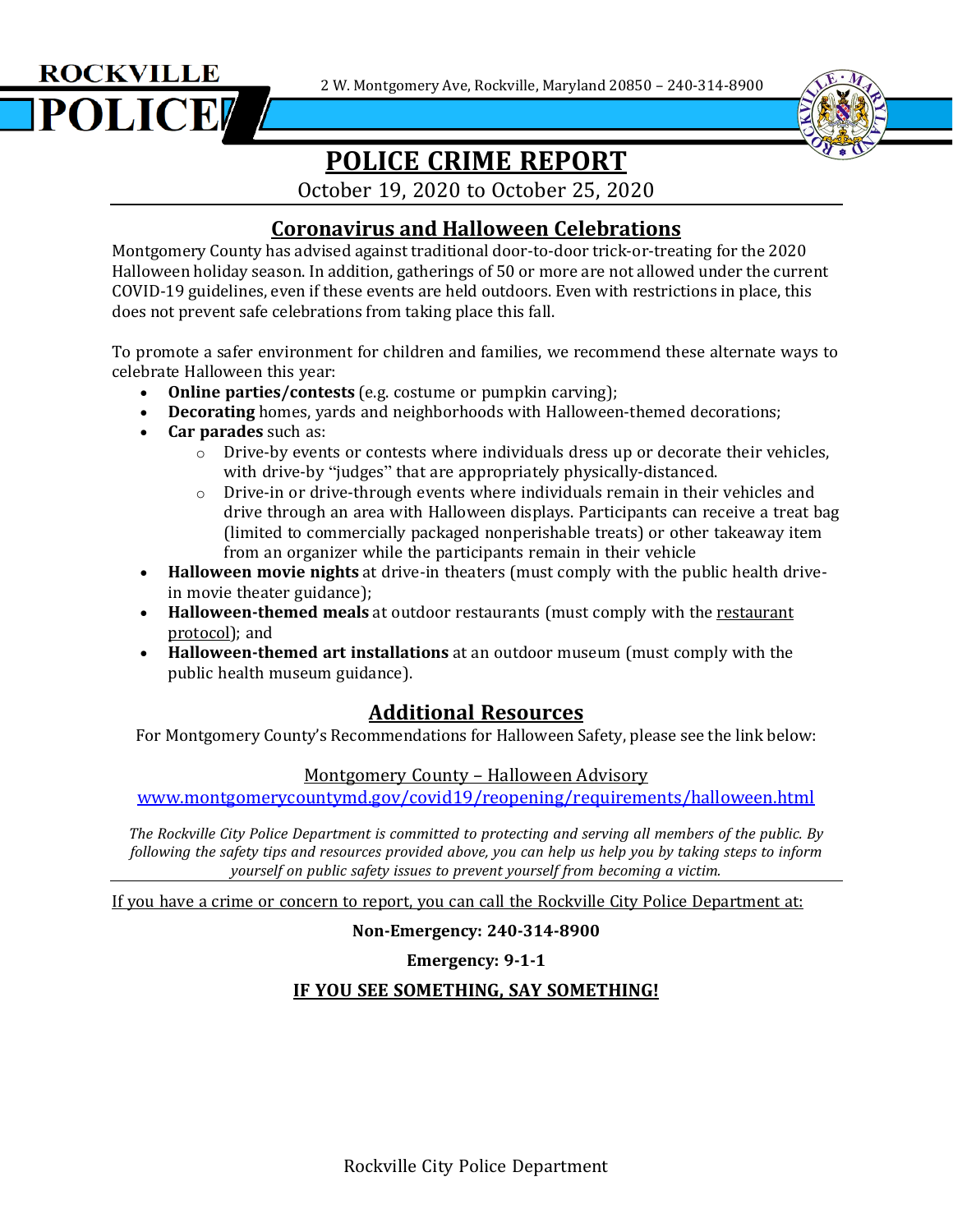2 W. Montgomery Ave, Rockville, Maryland 20850 – 240-314-8900





# **POLICE CRIME REPORT**

October 19, 2020 to October 25, 2020

## **Coronavirus and Halloween Celebrations**

Montgomery County has advised against traditional door-to-door trick-or-treating for the 2020 Halloween holiday season. In addition, gatherings of 50 or more are not allowed under the current COVID-19 guidelines, even if these events are held outdoors. Even with restrictions in place, this does not prevent safe celebrations from taking place this fall.

To promote a safer environment for children and families, we recommend these alternate ways to celebrate Halloween this year:

- **Online parties/contests** (e.g. costume or pumpkin carving);
- **Decorating** homes, yards and neighborhoods with Halloween-themed decorations;
- **Car parades** such as:
	- $\circ$  Drive-by events or contests where individuals dress up or decorate their vehicles, with drive-by "judges" that are appropriately physically-distanced.
	- $\circ$  Drive-in or drive-through events where individuals remain in their vehicles and drive through an area with Halloween displays. Participants can receive a treat bag (limited to commercially packaged nonperishable treats) or other takeaway item from an organizer while the participants remain in their vehicle
- **Halloween movie nights** at drive-in theaters (must comply with the public health drivein movie theater guidance);
- **Halloween-themed meals** at outdoor restaurants (must comply with the [restaurant](https://www.montgomerycountymd.gov/covid19/reopening/requirements/foodservice.html) [protocol\)](https://www.montgomerycountymd.gov/covid19/reopening/requirements/foodservice.html); and
- **Halloween-themed art installations** at an outdoor museum (must comply with the public health museum guidance).

# **Additional Resources**

For Montgomery County's Recommendations for Halloween Safety, please see the link below:

### Montgomery County – Halloween Advisory

[www.montgomerycountymd.gov/covid19/reopening/requirements/halloween.html](http://www.montgomerycountymd.gov/covid19/reopening/requirements/halloween.html)

*The Rockville City Police Department is committed to protecting and serving all members of the public. By* following the safety tips and resources provided above, you can help us help you by taking steps to inform *yourself on public safety issues to prevent yourself from becoming a victim.*

If you have a crime or concern to report, you can call the Rockville City Police Department at:

**Non-Emergency: 240-314-8900**

**Emergency: 9-1-1**

### **IF YOU SEE SOMETHING, SAY SOMETHING!**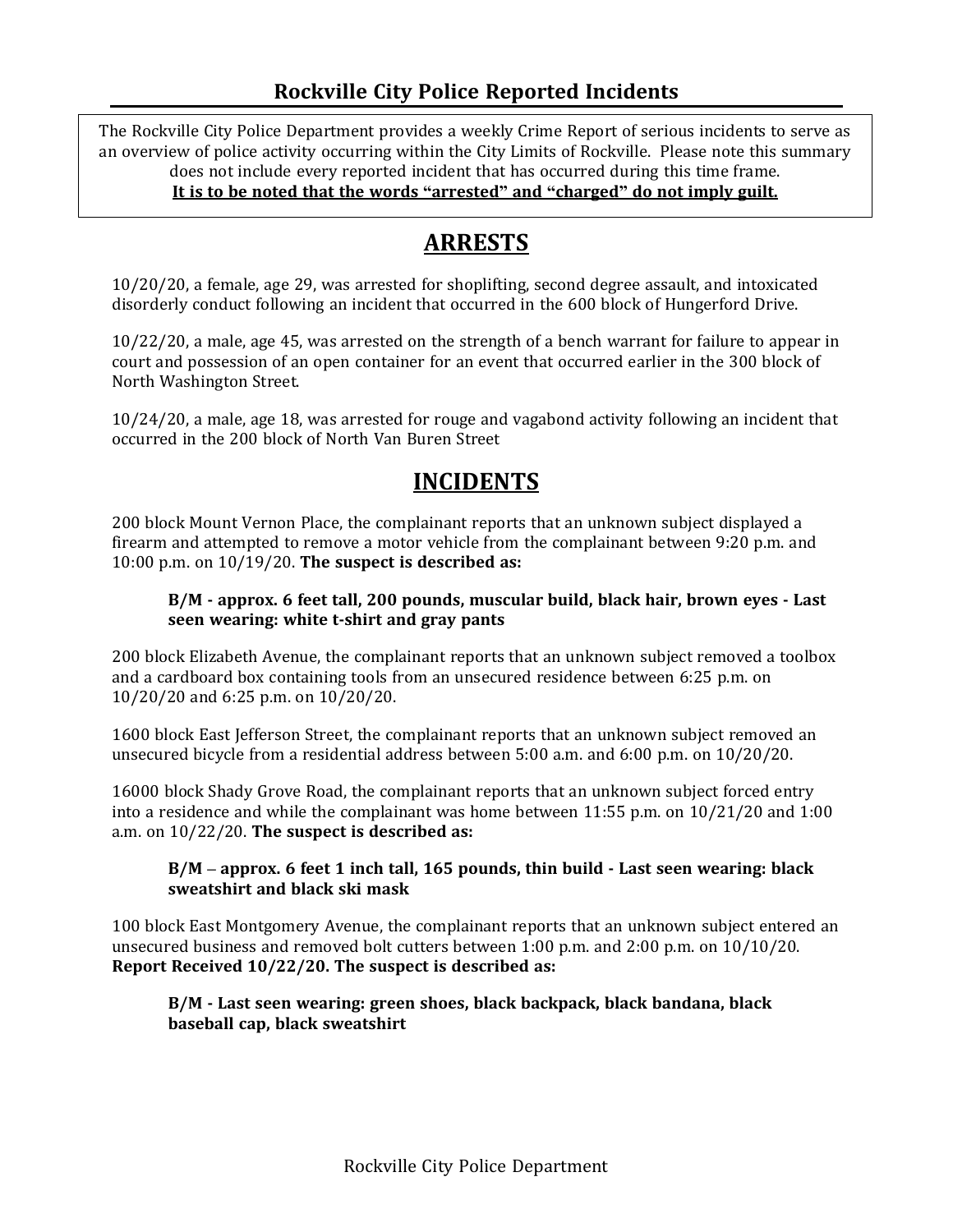### **Rockville City Police Reported Incidents**

The Rockville City Police Department provides a weekly Crime Report of serious incidents to serve as an overview of police activity occurring within the City Limits of Rockville. Please note this summary does not include every reported incident that has occurred during this time frame. **It is to be noted that the words "arrested" and "charged" do not imply guilt.**

# $\overline{a}$ **ARRESTS**

10/20/20, a female, age 29, was arrested for shoplifting, second degree assault, and intoxicated disorderly conduct following an incident that occurred in the 600 block of Hungerford Drive.

10/22/20, a male, age 45, was arrested on the strength of a bench warrant for failure to appear in court and possession of an open container for an event that occurred earlier in the 300 block of North Washington Street.

10/24/20, a male, age 18, was arrested for rouge and vagabond activity following an incident that occurred in the 200 block of North Van Buren Street

# **INCIDENTS**

200 block Mount Vernon Place, the complainant reports that an unknown subject displayed a firearm and attempted to remove a motor vehicle from the complainant between 9:20 p.m. and 10:00 p.m. on 10/19/20. **The suspect is described as:**

#### **B/M - approx. 6 feet tall, 200 pounds, muscular build, black hair, brown eyes - Last seen wearing: white t-shirt and gray pants**

200 block Elizabeth Avenue, the complainant reports that an unknown subject removed a toolbox and a cardboard box containing tools from an unsecured residence between 6:25 p.m. on 10/20/20 and 6:25 p.m. on 10/20/20.

1600 block East Jefferson Street, the complainant reports that an unknown subject removed an unsecured bicycle from a residential address between 5:00 a.m. and 6:00 p.m. on 10/20/20.

16000 block Shady Grove Road, the complainant reports that an unknown subject forced entry into a residence and while the complainant was home between 11:55 p.m. on 10/21/20 and 1:00 a.m. on 10/22/20. **The suspect is described as:**

#### **B/M – approx. 6 feet 1 inch tall, 165 pounds, thin build - Last seen wearing: black sweatshirt and black ski mask**

100 block East Montgomery Avenue, the complainant reports that an unknown subject entered an unsecured business and removed bolt cutters between 1:00 p.m. and 2:00 p.m. on 10/10/20. **Report Received 10/22/20. The suspect is described as:**

#### **B/M - Last seen wearing: green shoes, black backpack, black bandana, black baseball cap, black sweatshirt**